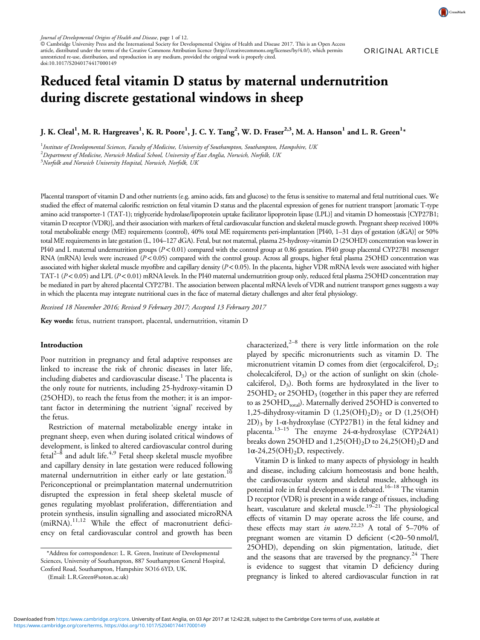© Cambridge University Press and the International Society for Developmental Origins of Health and Disease 2017. This is an Open Access article, distributed under the terms of the Creative Commons Attribution licence (http://creativecommons.org/licenses/by/4.0/), which permits unrestricted re-use, distribution, and reproduction in any medium, provided the original work is properly cited. doi:10.1017/S2040174417000149

# Reduced fetal vitamin D status by maternal undernutrition during discrete gestational windows in sheep

J. K. Cleal $^1$ , M. R. Hargreaves $^1$ , K. R. Poore $^1$ , J. C. Y. Tang $^2$ , W. D. Fraser $^{2,3}$ , M. A. Hanson $^1$  and L. R. Green $^{1*}$ 

 $^{\rm 1}$ Institute of Developmental Sciences, Faculty of Medicine, University of Southampton, Southampton, Hampshire, UK  $^2$ Department of Medicine, Norwich Medical School, University of East Anglia, Norwich, Norfolk, UK  $^3$ Norfolk and Norwich University Hospital, Norwich, Norfolk, UK

Placental transport of vitamin D and other nutrients (e.g. amino acids, fats and glucose) to the fetus is sensitive to maternal and fetal nutritional cues. We studied the effect of maternal calorific restriction on fetal vitamin D status and the placental expression of genes for nutrient transport [aromatic T-type amino acid transporter-1 (TAT-1); triglyceride hydrolase/lipoprotein uptake facilitator lipoprotein lipase (LPL)] and vitamin D homeostasis [CYP27B1; vitamin D receptor (VDR)], and their association with markers of fetal cardiovascular function and skeletal muscle growth. Pregnant sheep received 100% total metabolizable energy (ME) requirements (control), 40% total ME requirements peri-implantation [PI40, 1–31 days of gestation (dGA)] or 50% total ME requirements in late gestation (L, 104–127 dGA). Fetal, but not maternal, plasma 25-hydroxy-vitamin D (25OHD) concentration was lower in PI40 and L maternal undernutrition groups (P<0.01) compared with the control group at 0.86 gestation. PI40 group placental CYP27B1 messenger RNA (mRNA) levels were increased ( $P < 0.05$ ) compared with the control group. Across all groups, higher fetal plasma 25OHD concentration was associated with higher skeletal muscle myofibre and capillary density ( $P < 0.05$ ). In the placenta, higher VDR mRNA levels were associated with higher TAT-1 ( $P < 0.05$ ) and LPL ( $P < 0.01$ ) mRNA levels. In the PI40 maternal undernutrition group only, reduced fetal plasma 25OHD concentration may be mediated in part by altered placental CYP27B1. The association between placental mRNA levels of VDR and nutrient transport genes suggests a way in which the placenta may integrate nutritional cues in the face of maternal dietary challenges and alter fetal physiology.

Received 18 November 2016; Revised 9 February 2017; Accepted 13 February 2017

Key words: fetus, nutrient transport, placental, undernutrition, vitamin D

#### Introduction

Poor nutrition in pregnancy and fetal adaptive responses are linked to increase the risk of chronic diseases in later life, including diabetes and cardiovascular disease.<sup>[1](#page-9-0)</sup> The placenta is the only route for nutrients, including 25-hydroxy-vitamin D (25OHD), to reach the fetus from the mother; it is an important factor in determining the nutrient 'signal' received by the fetus.

Restriction of maternal metabolizable energy intake in pregnant sheep, even when during isolated critical windows of development, is linked to altered cardiovascular control during fetal<sup>[2](#page-9-0)–[8](#page-9-0)</sup> and adult life.<sup>[4,9](#page-9-0)</sup> Fetal sheep skeletal muscle myofibre and capillary density in late gestation were reduced following maternal undernutrition in either early or late gestation.<sup>[10](#page-10-0)</sup> Periconceptional or preimplantation maternal undernutrition disrupted the expression in fetal sheep skeletal muscle of genes regulating myoblast proliferation, differentiation and protein synthesis, insulin signalling and associated microRNA (miRNA).[11](#page-10-0),[12](#page-10-0) While the effect of macronutrient deficiency on fetal cardiovascular control and growth has been

characterized, $2^{-8}$  $2^{-8}$  $2^{-8}$  $2^{-8}$  there is very little information on the role played by specific micronutrients such as vitamin D. The micronutrient vitamin D comes from diet (ergocalciferol,  $D_2$ ; cholecalciferol,  $D_3$ ) or the action of sunlight on skin (cholecalciferol,  $D_3$ ). Both forms are hydroxylated in the liver to  $25OHD<sub>2</sub>$  or  $25OHD<sub>3</sub>$  (together in this paper they are referred to as  $25OHD<sub>total</sub>$ ). Maternally derived 25OHD is converted to 1,25-dihydroxy-vitamin D  $(1,25(OH)_2D)_2$  or D  $(1,25(OH))$  $2D)_3$  by 1-α-hydroxylase (CYP27B1) in the fetal kidney and placenta.[13](#page-10-0)–[15](#page-10-0) The enzyme 24-α-hydroxylase (CYP24A1) breaks down 25OHD and 1,25(OH)<sub>2</sub>D to 24,25(OH)<sub>2</sub>D and  $1\alpha - 24,25(OH)<sub>2</sub>D$ , respectively.

Vitamin D is linked to many aspects of physiology in health and disease, including calcium homeostasis and bone health, the cardiovascular system and skeletal muscle, although its potential role in fetal development is debated.<sup>16–[18](#page-10-0)</sup> The vitamin D receptor (VDR) is present in a wide range of tissues, including heart, vasculature and skeletal muscle.<sup>19-[21](#page-10-0)</sup> The physiological effects of vitamin D may operate across the life course, and these effects may start in utero.<sup>22,23</sup> A total of 5-70% of pregnant women are vitamin D deficient (<20–50 nmol/l, 25OHD), depending on skin pigmentation, latitude, diet and the seasons that are traversed by the pregnancy.<sup>[24](#page-10-0)</sup> There is evidence to suggest that vitamin D deficiency during pregnancy is linked to altered cardiovascular function in rat



<sup>\*</sup>Address for correspondence: L. R. Green, Institute of Developmental Sciences, University of Southampton, 887 Southampton General Hospital, Coxford Road, Southampton, Hampshire SO16 6YD, UK.

<sup>(</sup>Email: [L.R.Green@soton.ac.uk\)](mailto:L.R.Green@soton.ac.uk)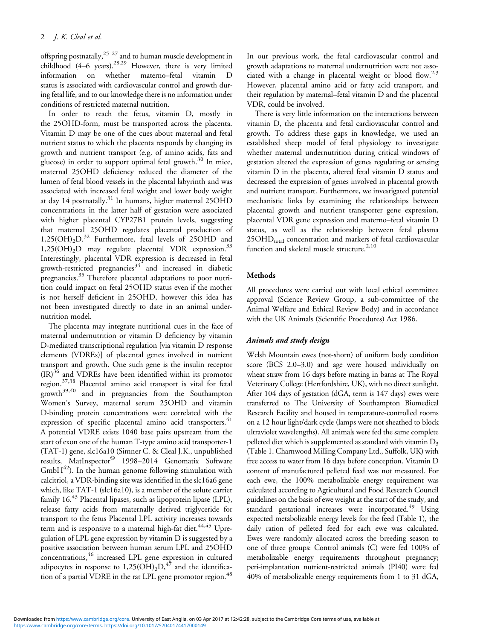offspring postnatally,<sup>25–[27](#page-10-0)</sup> and to human muscle development in childhood  $(4-6$  years).<sup>[28](#page-10-0),[29](#page-10-0)</sup> However, there is very limited information on whether materno–fetal vitamin D status is associated with cardiovascular control and growth during fetal life, and to our knowledge there is no information under conditions of restricted maternal nutrition.

In order to reach the fetus, vitamin D, mostly in the 25OHD-form, must be transported across the placenta. Vitamin D may be one of the cues about maternal and fetal nutrient status to which the placenta responds by changing its growth and nutrient transport (e.g. of amino acids, fats and glucose) in order to support optimal fetal growth.[30](#page-10-0) In mice, maternal 25OHD deficiency reduced the diameter of the lumen of fetal blood vessels in the placental labyrinth and was associated with increased fetal weight and lower body weight at day 14 postnatally.<sup>[31](#page-10-0)</sup> In humans, higher maternal 25OHD concentrations in the latter half of gestation were associated with higher placental CYP27B1 protein levels, suggesting that maternal 25OHD regulates placental production of  $1,25(OH)_2D^{32}$  $1,25(OH)_2D^{32}$  $1,25(OH)_2D^{32}$  Furthermore, fetal levels of 25OHD and  $1,25(OH)<sub>2</sub>D$  may regulate placental VDR expression.<sup>[33](#page-10-0)</sup> Interestingly, placental VDR expression is decreased in fetal growth-restricted pregnancies<sup>[34](#page-10-0)</sup> and increased in diabetic pregnancies.<sup>[35](#page-10-0)</sup> Therefore placental adaptations to poor nutrition could impact on fetal 25OHD status even if the mother is not herself deficient in 25OHD, however this idea has not been investigated directly to date in an animal undernutrition model.

The placenta may integrate nutritional cues in the face of maternal undernutrition or vitamin D deficiency by vitamin D-mediated transcriptional regulation [via vitamin D response elements (VDREs)] of placental genes involved in nutrient transport and growth. One such gene is the insulin receptor  $(IR)^{36}$  $(IR)^{36}$  $(IR)^{36}$  and VDREs have been identified within its promotor region.[37,38](#page-10-0) Placental amino acid transport is vital for fetal growth<sup>[39,40](#page-10-0)</sup> and in pregnancies from the Southampton Women's Survey, maternal serum 25OHD and vitamin D-binding protein concentrations were correlated with the expression of specific placental amino acid transporters.<sup>[41](#page-10-0)</sup> A potential VDRE exists 1040 base pairs upstream from the start of exon one of the human T-type amino acid transporter-1 (TAT-1) gene, slc16a10 (Simner C. & Cleal J.K., unpublished results, MatInspector<sup>©</sup> 1998–2014 Genomatix Software  $GmbH^{42}$ ). In the human genome following stimulation with calcitriol, a VDR-binding site was identified in the slc16a6 gene which, like TAT-1 (slc16a10), is a member of the solute carrier family 16.<sup>[43](#page-10-0)</sup> Placental lipases, such as lipoprotein lipase (LPL), release fatty acids from maternally derived triglyceride for transport to the fetus Placental LPL activity increases towards term and is responsive to a maternal high-fat diet.<sup>[44](#page-11-0),[45](#page-11-0)</sup> Upregulation of LPL gene expression by vitamin D is suggested by a positive association between human serum LPL and 25OHD concentrations,<sup>[46](#page-11-0)</sup> increased LPL gene expression in cultured adipocytes in response to  $1,25(OH)_2D$ , <sup>[47](#page-11-0)</sup> and the identifica-tion of a partial VDRE in the rat LPL gene promotor region.<sup>[48](#page-11-0)</sup>

In our previous work, the fetal cardiovascular control and growth adaptations to maternal undernutrition were not asso-ciated with a change in placental weight or blood flow.<sup>[2,3](#page-9-0)</sup> However, placental amino acid or fatty acid transport, and their regulation by maternal–fetal vitamin D and the placental VDR, could be involved.

There is very little information on the interactions between vitamin D, the placenta and fetal cardiovascular control and growth. To address these gaps in knowledge, we used an established sheep model of fetal physiology to investigate whether maternal undernutrition during critical windows of gestation altered the expression of genes regulating or sensing vitamin D in the placenta, altered fetal vitamin D status and decreased the expression of genes involved in placental growth and nutrient transport. Furthermore, we investigated potential mechanistic links by examining the relationships between placental growth and nutrient transporter gene expression, placental VDR gene expression and materno–fetal vitamin D status, as well as the relationship between fetal plasma 25OHD<sub>total</sub> concentration and markers of fetal cardiovascular function and skeletal muscle structure.<sup>[2,](#page-9-0)[10](#page-10-0)</sup>

## Methods

All procedures were carried out with local ethical committee approval (Science Review Group, a sub-committee of the Animal Welfare and Ethical Review Body) and in accordance with the UK Animals (Scientific Procedures) Act 1986.

# Animals and study design

Welsh Mountain ewes (not-shorn) of uniform body condition score (BCS 2.0–3.0) and age were housed individually on wheat straw from 16 days before mating in barns at The Royal Veterinary College (Hertfordshire, UK), with no direct sunlight. After 104 days of gestation (dGA, term is 147 days) ewes were transferred to The University of Southampton Biomedical Research Facility and housed in temperature-controlled rooms on a 12 hour light/dark cycle (lamps were not sheathed to block ultraviolet wavelengths). All animals were fed the same complete pelleted diet which is supplemented as standard with vitamin  $D_3$ [\(Table 1.](#page-2-0) Charnwood Milling Company Ltd., Suffolk, UK) with free access to water from 16 days before conception. Vitamin D content of manufactured pelleted feed was not measured. For each ewe, the 100% metabolizable energy requirement was calculated according to Agricultural and Food Research Council guidelines on the basis of ewe weight at the start of the study, and standard gestational increases were incorporated.<sup>49</sup> Using expected metabolizable energy levels for the feed [\(Table 1](#page-2-0)), the daily ration of pelleted feed for each ewe was calculated. Ewes were randomly allocated across the breeding season to one of three groups: Control animals (C) were fed 100% of metabolizable energy requirements throughout pregnancy; peri-implantation nutrient-restricted animals (PI40) were fed 40% of metabolizable energy requirements from 1 to 31 dGA,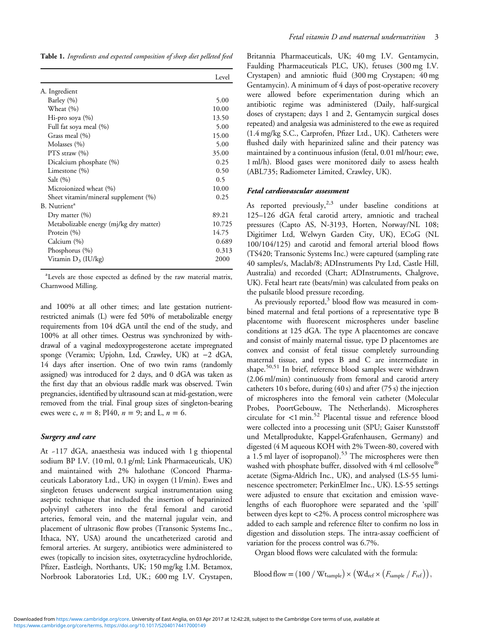<span id="page-2-0"></span>Table 1. Ingredients and expected composition of sheep diet pelleted feed

|                                         | Level  |
|-----------------------------------------|--------|
| A. Ingredient                           |        |
| Barley (%)                              | 5.00   |
| Wheat (%)                               | 10.00  |
| Hi-pro soya $(\% )$                     | 13.50  |
| Full fat soya meal (%)                  | 5.00   |
| Grass meal (%)                          | 15.00  |
| Molasses (%)                            | 5.00   |
| PTS straw $(\% )$                       | 35.00  |
| Dicalcium phosphate (%)                 | 0.25   |
| Limestone (%)                           | 0.50   |
| Salt $(\% )$                            | 0.5    |
| Microionized wheat (%)                  | 10.00  |
| Sheet vitamin/mineral supplement (%)    | 0.25   |
| B. Nutrient <sup>a</sup>                |        |
| Dry matter $(\% )$                      | 89.21  |
| Metabolizable energy (mj/kg dry matter) | 10.725 |
| Protein $(\% )$                         | 14.75  |
| Calcium (%)                             | 0.689  |
| Phosphorus (%)                          | 0.313  |
| Vitamin $D_3$ (IU/kg)                   | 2000   |

a Levels are those expected as defined by the raw material matrix, Charnwood Milling.

and 100% at all other times; and late gestation nutrientrestricted animals (L) were fed 50% of metabolizable energy requirements from 104 dGA until the end of the study, and 100% at all other times. Oestrus was synchronized by withdrawal of a vaginal medoxyprogesterone acetate impregnated sponge (Veramix; Upjohn, Ltd, Crawley, UK) at −2 dGA, 14 days after insertion. One of two twin rams (randomly assigned) was introduced for 2 days, and 0 dGA was taken as the first day that an obvious raddle mark was observed. Twin pregnancies, identified by ultrasound scan at mid-gestation, were removed from the trial. Final group sizes of singleton-bearing ewes were c,  $n = 8$ ; PI40,  $n = 9$ ; and L,  $n = 6$ .

#### Surgery and care

At ~117 dGA, anaesthesia was induced with 1 g thiopental sodium BP I.V. (10 ml, 0.1 g/ml; Link Pharmaceuticals, UK) and maintained with 2% halothane (Concord Pharmaceuticals Laboratory Ltd., UK) in oxygen (1 l/min). Ewes and singleton fetuses underwent surgical instrumentation using aseptic technique that included the insertion of heparinized polyvinyl catheters into the fetal femoral and carotid arteries, femoral vein, and the maternal jugular vein, and placement of ultrasonic flow probes (Transonic Systems Inc., Ithaca, NY, USA) around the uncatheterized carotid and femoral arteries. At surgery, antibiotics were administered to ewes (topically to incision sites, oxytetracycline hydrochloride, Pfizer, Eastleigh, Northants, UK; 150 mg/kg I.M. Betamox, Norbrook Laboratories Ltd, UK.; 600 mg I.V. Crystapen,

Britannia Pharmaceuticals, UK; 40 mg I.V. Gentamycin, Faulding Pharmaceuticals PLC, UK), fetuses (300 mg I.V. Crystapen) and amniotic fluid (300 mg Crystapen; 40 mg Gentamycin). A minimum of 4 days of post-operative recovery were allowed before experimentation during which an antibiotic regime was administered (Daily, half-surgical doses of crystapen; days 1 and 2, Gentamycin surgical doses repeated) and analgesia was administered to the ewe as required (1.4 mg/kg S.C., Carprofen, Pfizer Ltd., UK). Catheters were flushed daily with heparinized saline and their patency was maintained by a continuous infusion (fetal, 0.01 ml/hour; ewe, 1 ml/h). Blood gases were monitored daily to assess health (ABL735; Radiometer Limited, Crawley, UK).

## Fetal cardiovascular assessment

As reported previously,<sup>[2,3](#page-9-0)</sup> under baseline conditions at 125–126 dGA fetal carotid artery, amniotic and tracheal pressures (Capto AS, N-3193, Horten, Norway/NL 108; Digitimer Ltd, Welwyn Garden City, UK), ECoG (NL 100/104/125) and carotid and femoral arterial blood flows (TS420; Transonic Systems Inc.) were captured (sampling rate 40 samples/s, Maclab/8; ADInstruments Pty Ltd, Castle Hill, Australia) and recorded (Chart; ADInstruments, Chalgrove, UK). Fetal heart rate (beats/min) was calculated from peaks on the pulsatile blood pressure recording.

As previously reported, $3$  blood flow was measured in combined maternal and fetal portions of a representative type B placentome with fluorescent microspheres under baseline conditions at 125 dGA. The type A placentomes are concave and consist of mainly maternal tissue, type D placentomes are convex and consist of fetal tissue completely surrounding maternal tissue, and types B and C are intermediate in shape.<sup>[50,51](#page-11-0)</sup> In brief, reference blood samples were withdrawn (2.06 ml/min) continuously from femoral and carotid artery catheters 10 s before, during (40 s) and after (75 s) the injection of microspheres into the femoral vein catheter (Molecular Probes, PoortGebouw, The Netherlands). Microspheres circulate for <1 min.[52](#page-11-0) Placental tissue and reference blood were collected into a processing unit (SPU; Gaiser Kunststoff und Metallprodukte, Kappel-Grafenhausen, Germany) and digested (4 M aqueous KOH with 2% Tween-80, covered with a 1.5 ml layer of isopropanol).<sup>[53](#page-11-0)</sup> The microspheres were then washed with phosphate buffer, dissolved with 4 ml cellosolve® acetate (Sigma-Aldrich Inc., UK), and analysed (LS-55 luminescence spectrometer; PerkinElmer Inc., UK). LS-55 settings were adjusted to ensure that excitation and emission wavelengths of each fluorophore were separated and the 'spill' between dyes kept to <2%. A process control microsphere was added to each sample and reference filter to confirm no loss in digestion and dissolution steps. The intra-assay coefficient of variation for the process control was 6.7%.

Organ blood flows were calculated with the formula:

Blood flow =  $(100 / W t_{sample}) \times (W d_{ref} \times (F_{sample} / F_{ref}))$ ,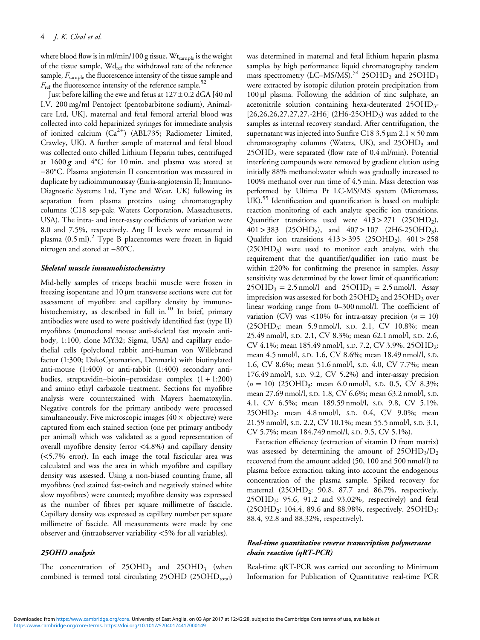where blood flow is in ml/min/100 g tissue, Wtsample is the weight of the tissue sample,  $Wd_{ref}$  the withdrawal rate of the reference sample,  $F_{\text{sample}}$  the fluorescence intensity of the tissue sample and  $F_{\text{ref}}$  the fluorescence intensity of the reference sample.<sup>52</sup>

Just before killing the ewe and fetus at  $127 \pm 0.2$  dGA [40 ml I.V. 200 mg/ml Pentoject (pentobarbitone sodium), Animalcare Ltd, UK], maternal and fetal femoral arterial blood was collected into cold heparinized syringes for immediate analysis of ionized calcium (Ca<sup>2+</sup>) (ABL735; Radiometer Limited, Crawley, UK). A further sample of maternal and fetal blood was collected onto chilled Lithium Heparin tubes, centrifuged at  $1600 g$  and  $4^{\circ}$ C for 10 min, and plasma was stored at −80°C. Plasma angiotensin II concentration was measured in duplicate by radioimmunoassay (Euria-angiotensin II; Immuno-Diagnostic Systems Ltd, Tyne and Wear, UK) following its separation from plasma proteins using chromatography columns (C18 sep-pak; Waters Corporation, Massachusetts, USA). The intra- and inter-assay coefficients of variation were 8.0 and 7.5%, respectively. Ang II levels were measured in plasma  $(0.5 \text{ ml})$ .<sup>[2](#page-9-0)</sup> Type B placentomes were frozen in liquid nitrogen and stored at −80°C.

#### Skeletal muscle immunohistochemistry

Mid-belly samples of triceps brachii muscle were frozen in freezing isopentane and 10 µm transverse sections were cut for assessment of myofibre and capillary density by immuno-histochemistry, as described in full in.<sup>[10](#page-10-0)</sup> In brief, primary antibodies were used to were positively identified fast (type II) myofibres (monoclonal mouse anti-skeletal fast myosin antibody, 1:100, clone MY32; Sigma, USA) and capillary endothelial cells (polyclonal rabbit anti-human von Willebrand factor (1:300; DakoCytomation, Denmark) with biotinylated anti-mouse (1:400) or anti-rabbit (1:400) secondary antibodies, streptavidin–biotin–peroxidase complex (1 + 1:200) and amino ethyl carbazole treatment. Sections for myofibre analysis were counterstained with Mayers haematoxylin. Negative controls for the primary antibody were processed simultaneously. Five microscopic images ( $40 \times$  objective) were captured from each stained section (one per primary antibody per animal) which was validated as a good representation of overall myofibre density (error <4.8%) and capillary density (<5.7% error). In each image the total fascicular area was calculated and was the area in which myofibre and capillary density was assessed. Using a non-biased counting frame, all myofibres (red stained fast-twitch and negatively stained white slow myofibres) were counted; myofibre density was expressed as the number of fibres per square millimetre of fascicle. Capillary density was expressed as capillary number per square millimetre of fascicle. All measurements were made by one observer and (intraobserver variability <5% for all variables).

# 25OHD analysis

The concentration of  $25OHD<sub>2</sub>$  and  $25OHD<sub>3</sub>$  (when combined is termed total circulating 25OHD (25OHDtotal)

was determined in maternal and fetal lithium heparin plasma samples by high performance liquid chromatography tandem mass spectrometry (LC–MS/MS).<sup>[54](#page-11-0)</sup> 25OHD<sub>2</sub> and 25OHD<sub>3</sub> were extracted by isotopic dilution protein precipitation from 100 μl plasma. Following the addition of zinc sulphate, an acetonitrile solution containing hexa-deuterated 25OHD<sub>3</sub>- $[26,26,26,27,27,27,-2H6]$  (2H6-25OHD<sub>3</sub>) was added to the samples as internal recovery standard. After centrifugation, the supernatant was injected into Sunfire C18 3.5  $\mu$ m 2.1  $\times$  50 mm chromatography columns (Waters, UK), and  $25OHD<sub>3</sub>$  and 25OHD2 were separated (flow rate of 0.4 ml/min). Potential interfering compounds were removed by gradient elution using initially 88% methanol:water which was gradually increased to 100% methanol over run time of 4.5 min. Mass detection was performed by Ultima Pt LC-MS/MS system (Micromass, UK).<sup>[55](#page-11-0)</sup> Identification and quantification is based on multiple reaction monitoring of each analyte specific ion transitions. Quantifier transitions used were  $413 > 271$  (25OHD<sub>2</sub>),  $401 > 383$  (25OHD<sub>3</sub>), and  $407 > 107$  (2H6-25OHD<sub>3</sub>). Qualifer ion transitions  $413 > 395$  (25OHD<sub>2</sub>),  $401 > 258$ (25OHD3) were used to monitor each analyte, with the requirement that the quantifier/qualifier ion ratio must be within  $\pm 20\%$  for confirming the presence in samples. Assay sensitivity was determined by the lower limit of quantification:  $25OHD_3 = 2.5$  nmol/l and  $25OHD_2 = 2.5$  nmol/l. Assay imprecision was assessed for both  $25OHD<sub>2</sub>$  and  $25OHD<sub>3</sub>$  over linear working range from 0–300 nmol/l. The coefficient of variation (CV) was  $\langle 10\%$  for intra-assay precision ( $n = 10$ ) (25OHD<sub>3</sub>: mean 5.9 nmol/l, s.p. 2.1, CV 10.8%; mean 25.49 nmol/l, S.D. 2.1, CV 8.3%; mean 62.1 nmol/l, S.D. 2.6, CV 4.1%; mean 185.49 nmol/l, S.D. 7.2, CV 3.9%. 25OHD2: mean 4.5 nmol/l, S.D. 1.6, CV 8.6%; mean 18.49 nmol/l, S.D. 1.6, CV 8.6%; mean 51.6 nmol/l, S.D. 4.0, CV 7.7%; mean 176.49 nmol/l, S.D. 9.2, CV 5.2%) and inter-assay precision  $(n = 10)$  (25OHD<sub>3</sub>: mean 6.0 nmol/l, s.p. 0.5, CV 8.3%; mean 27.69 nmol/l, S.D. 1.8, CV 6.6%; mean 63.2 nmol/l, S.D. 4.1, CV 6.5%; mean 189.59 nmol/l, S.D. 9.8, CV 5.1%. 25OHD2: mean 4.8 nmol/l, S.D. 0.4, CV 9.0%; mean 21.59 nmol/l, S.D. 2.2, CV 10.1%; mean 55.5 nmol/l, S.D. 3.1, CV 5.7%; mean 184.749 nmol/l, S.D. 9.5, CV 5.1%).

Extraction efficiency (extraction of vitamin D from matrix) was assessed by determining the amount of  $25OHD<sub>3</sub>/D<sub>2</sub>$ recovered from the amount added (50, 100 and 500 nmol/l) to plasma before extraction taking into account the endogenous concentration of the plasma sample. Spiked recovery for maternal  $(25OHD<sub>2</sub>: 90.8, 87.7, and 86.7%, respectively.$ 25OHD3: 95.6, 91.2 and 93.02%, respectively) and fetal  $(25OHD<sub>2</sub>: 104.4, 89.6, and 88.98\%, respectively. 25OHD<sub>3</sub>:$ 88.4, 92.8 and 88.32%, respectively).

# Real-time quantitative reverse transcription polymerasae chain reaction (qRT-PCR)

Real-time qRT-PCR was carried out according to Minimum Information for Publication of Quantitative real-time PCR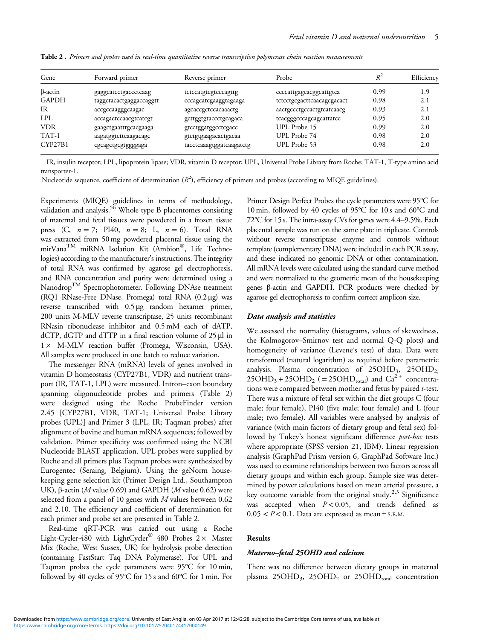| Gene           | Forward primer          | Reverse primer           | Probe                      | $R^2$ | Efficiency |
|----------------|-------------------------|--------------------------|----------------------------|-------|------------|
| $\beta$ -actin | gaggcatcctgaccctcaag    | tctccatgtcgtcccagttg     | ccccattgagcacggcattgtca    | 0.99  | 1.9        |
| <b>GAPDH</b>   | taggctacactgaggaccaggtt | cccagcatcgaaggtagaaga    | tctcctgcgacttcaacagcgacact | 0.98  | 2.1        |
| IR             | accgccaagggcaagac       | agcaccgctccacaaactg      | aactgccctgccactgtcatcaacg  | 0.93  | 2.1        |
| <b>LPL</b>     | accagactccaacgtcatcgt   | gcttggtgtaccctgcagaca    | tcacgggcccagcagcattatcc    | 0.95  | 2.0        |
| <b>VDR</b>     | gaagctgaatttgcacgaaga   | gtcctggatggcctcgacc      | UPL Probe 15               | 0.99  | 2.0        |
| TAT-1          | aagatggtcttcaagacagc    | gtctgtgaagacactgacaa     | UPL Probe 74               | 0.98  | 2.0        |
| CYP27B1        | cgcagctgcgtgggggaga     | tacctcaaagtggatcaagatctg | UPL Probe 53               | 0.98  | 2.0        |

Table 2. Primers and probes used in real-time quantitative reverse transcription polymerase chain reaction measurements

IR, insulin receptor; LPL, lipoprotein lipase; VDR, vitamin D receptor; UPL, Universal Probe Library from Roche; TAT-1, T-type amino acid transporter-1.

Nucleotide sequence, coefficient of determination  $(R^2)$ , efficiency of primers and probes (according to MIQE guidelines).

Experiments (MIQE) guidelines in terms of methodology, validation and analysis.<sup>56</sup> Whole type B placentomes consisting of maternal and fetal tissues were powdered in a frozen tissue press (C,  $n = 7$ ; PI40,  $n = 8$ ; L,  $n = 6$ ). Total RNA was extracted from 50 mg powdered placental tissue using the mirVana<sup>TM</sup> miRNA Isolation Kit (Ambion®, Life Technologies) according to the manufacturer's instructions. The integrity of total RNA was confirmed by agarose gel electrophoresis, and RNA concentration and purity were determined using a Nanodrop<sup>TM</sup> Spectrophotometer. Following DNAse treatment (RQ1 RNase-Free DNase, Promega) total RNA (0.2 μg) was reverse transcribed with 0.5 μg random hexamer primer, 200 units M-MLV reverse transcriptase, 25 units recombinant RNasin ribonuclease inhibitor and 0.5 mM each of dATP, dCTP, dGTP and dTTP in a final reaction volume of 25 μl in 1× M-MLV reaction buffer (Promega, Wisconsin, USA). All samples were produced in one batch to reduce variation.

The messenger RNA (mRNA) levels of genes involved in vitamin D homeostasis (CYP27B1, VDR) and nutrient transport (IR, TAT-1, LPL) were measured. Intron–exon boundary spanning oligonucleotide probes and primers (Table 2) were designed using the Roche ProbeFinder version 2.45 [CYP27B1, VDR, TAT-1; Universal Probe Library probes (UPL)] and Primer 3 (LPL, IR; Taqman probes) after alignment of bovine and human mRNA sequences; followed by validation. Primer specificity was confirmed using the NCBI Nucleotide BLAST application. UPL probes were supplied by Roche and all primers plus Taqman probes were synthesized by Eurogentec (Seraing, Belgium). Using the geNorm housekeeping gene selection kit (Primer Design Ltd., Southampton UK), β-actin (*M* value 0.69) and GAPDH (*M* value 0.62) were selected from a panel of 10 genes with  $M$  values between 0.62 and 2.10. The efficiency and coefficient of determination for each primer and probe set are presented in Table 2.

Real-time qRT-PCR was carried out using a Roche Light-Cycler-480 with LightCycler® 480 Probes  $2 \times$  Master Mix (Roche, West Sussex, UK) for hydrolysis probe detection (containing FastStart Taq DNA Polymerase). For UPL and Taqman probes the cycle parameters were 95°C for 10 min, followed by 40 cycles of 95°C for 15 s and 60°C for 1 min. For

Primer Design Perfect Probes the cycle parameters were 95°C for 10 min, followed by 40 cycles of 95°C for 10 s and 60°C and 72°C for 15 s. The intra-assay CVs for genes were 4.4–9.5%. Each placental sample was run on the same plate in triplicate. Controls without reverse transcriptase enzyme and controls without template (complementary DNA) were included in each PCR assay, and these indicated no genomic DNA or other contamination. All mRNA levels were calculated using the standard curve method and were normalized to the geometric mean of the housekeeping genes β-actin and GAPDH. PCR products were checked by agarose gel electrophoresis to confirm correct amplicon size.

## Data analysis and statistics

We assessed the normality (histograms, values of skewedness, the Kolmogorov–Smirnov test and normal Q-Q plots) and homogeneity of variance (Levene's test) of data. Data were transformed (natural logarithm) as required before parametric analysis. Plasma concentration of  $25OHD_3$ ,  $25OHD_2$ ,  $25OHD_3 + 25OHD_2$  (= 25OHD<sub>total</sub>) and Ca<sup>2+</sup> concentrations were compared between mother and fetus by paired t-test. There was a mixture of fetal sex within the diet groups C (four male; four female), PI40 (five male; four female) and L (four male; two female). All variables were analysed by analysis of variance (with main factors of dietary group and fetal sex) followed by Tukey's honest significant difference *post-hoc* tests where appropriate (SPSS version 21, IBM). Linear regression analysis (GraphPad Prism version 6, GraphPad Software Inc.) was used to examine relationships between two factors across all dietary groups and within each group. Sample size was determined by power calculations based on mean arterial pressure, a key outcome variable from the original study.<sup>[2,3](#page-9-0)</sup> Significance was accepted when  $P < 0.05$ , and trends defined as  $0.05 < P < 0.1$ . Data are expressed as mean ± S.E.M.

## Results

#### Materno–fetal 25OHD and calcium

There was no difference between dietary groups in maternal plasma 25OHD<sub>3</sub>, 25OHD<sub>2</sub> or 25OHD<sub>total</sub> concentration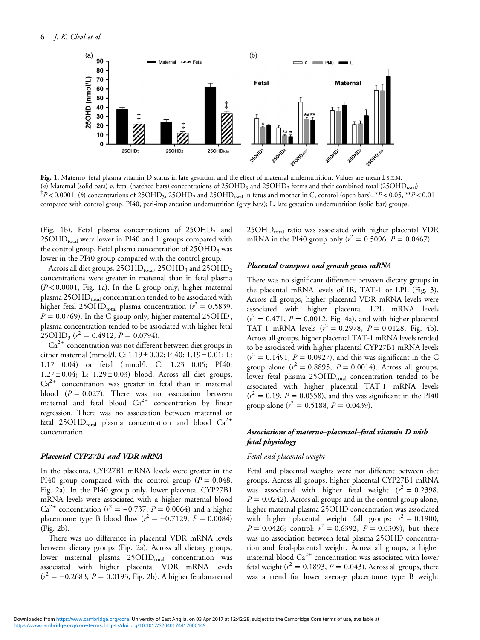

Fig. 1. Materno–fetal plasma vitamin D status in late gestation and the effect of maternal undernutrition. Values are mean ± S.E.M. (a) Maternal (solid bars) v. fetal (hatched bars) concentrations of 25OHD<sub>3</sub> and 25OHD<sub>2</sub> forms and their combined total (25OHD<sub>total</sub>)  $p^{\pm}P$  < 0.0001; (b) concentrations of 25OHD<sub>3</sub>, 25OHD<sub>2</sub> and 25OHD<sub>total</sub> in fetus and mother in C, control (open bars).  $*P$  < 0.05,  $**P$  < 0.01 compared with control group. PI40, peri-implantation undernutrition (grey bars); L, late gestation undernutrition (solid bar) groups.

(Fig. 1b). Fetal plasma concentrations of  $25OHD<sub>2</sub>$  and 25OHD<sub>total</sub> were lower in PI40 and L groups compared with the control group. Fetal plasma concentration of  $25OHD<sub>3</sub>$  was lower in the PI40 group compared with the control group.

Across all diet groups, 25OHD<sub>total</sub>, 25OHD<sub>3</sub> and 25OHD<sub>2</sub> concentrations were greater in maternal than in fetal plasma  $(P<0.0001$ , Fig. 1a). In the L group only, higher maternal plasma  $25OHD<sub>total</sub>$  concentration tended to be associated with higher fetal 25OHD<sub>total</sub> plasma concentration ( $r^2 = 0.5839$ ,  $P = 0.0769$ ). In the C group only, higher maternal 25OHD<sub>3</sub> plasma concentration tended to be associated with higher fetal  $25OHD_3 (r^2 = 0.4912, P = 0.0794).$ 

 $Ca<sup>2+</sup>$  concentration was not different between diet groups in either maternal (mmol/l. C: 1.19 ± 0.02; PI40: 1.19 ± 0.01; L:  $1.17 \pm 0.04$  or fetal (mmol/l. C:  $1.23 \pm 0.05$ ; PI40:  $1.27 \pm 0.04$ ; L:  $1.29 \pm 0.03$ ) blood. Across all diet groups,  $Ca<sup>2+</sup>$  concentration was greater in fetal than in maternal blood  $(P = 0.027)$ . There was no association between maternal and fetal blood  $Ca^{2+}$  concentration by linear regression. There was no association between maternal or fetal 25OHD<sub>total</sub> plasma concentration and blood  $Ca^{2+}$ concentration.

#### Placental CYP27B1 and VDR mRNA

In the placenta, CYP27B1 mRNA levels were greater in the PI40 group compared with the control group ( $P = 0.048$ , [Fig. 2a\)](#page-6-0). In the PI40 group only, lower placental CYP27B1 mRNA levels were associated with a higher maternal blood Ca<sup>2+</sup> concentration ( $r^2 = -0.737$ ,  $P = 0.0064$ ) and a higher placentome type B blood flow ( $r^2 = -0.7129$ ,  $P = 0.0084$ ) [\(Fig. 2b\)](#page-6-0).

There was no difference in placental VDR mRNA levels between dietary groups ([Fig. 2a\)](#page-6-0). Across all dietary groups, lower maternal plasma 25OHD<sub>total</sub> concentration was associated with higher placental VDR mRNA levels  $(r<sup>2</sup> = −0.2683, P = 0.0193, Fig. 2b)$  $(r<sup>2</sup> = −0.2683, P = 0.0193, Fig. 2b)$  $(r<sup>2</sup> = −0.2683, P = 0.0193, Fig. 2b)$ . A higher fetal:maternal

 $25OHD<sub>total</sub>$  ratio was associated with higher placental VDR mRNA in the PI40 group only ( $r^2 = 0.5096$ ,  $P = 0.0467$ ).

## Placental transport and growth genes mRNA

There was no significant difference between dietary groups in the placental mRNA levels of IR, TAT-1 or LPL ([Fig. 3\)](#page-6-0). Across all groups, higher placental VDR mRNA levels were associated with higher placental LPL mRNA levels  $(r^2 = 0.471, P = 0.0012,$  [Fig. 4a\)](#page-7-0), and with higher placental TAT-1 mRNA levels  $(r^2 = 0.2978, P = 0.0128, F$ ig. 4b). Across all groups, higher placental TAT-1 mRNA levels tended to be associated with higher placental CYP27B1 mRNA levels  $(r^2 = 0.1491, P = 0.0927)$ , and this was significant in the C group alone ( $r^2 = 0.8895$ ,  $P = 0.0014$ ). Across all groups, lower fetal plasma 25OHD<sub>total</sub> concentration tended to be associated with higher placental TAT-1 mRNA levels  $(r^2 = 0.19, P = 0.0558)$ , and this was significant in the PI40 group alone ( $r^2 = 0.5188$ ,  $P = 0.0439$ ).

# Associations of materno–placental–fetal vitamin D with fetal physiology

#### Fetal and placental weight

Fetal and placental weights were not different between diet groups. Across all groups, higher placental CYP27B1 mRNA was associated with higher fetal weight  $(r^2 = 0.2398,$  $P = 0.0242$ ). Across all groups and in the control group alone, higher maternal plasma 25OHD concentration was associated with higher placental weight (all groups:  $r^2 = 0.1900$ ,  $P = 0.0426$ ; control:  $r^2 = 0.6392$ ,  $P = 0.0309$ ), but there was no association between fetal plasma 25OHD concentration and fetal-placental weight. Across all groups, a higher maternal blood  $Ca<sup>2+</sup>$  concentration was associated with lower fetal weight ( $r^2 = 0.1893$ ,  $P = 0.043$ ). Across all groups, there was a trend for lower average placentome type B weight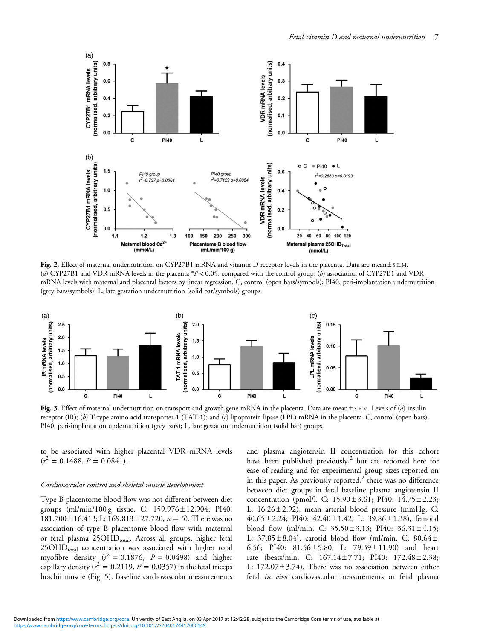<span id="page-6-0"></span>

Fig. 2. Effect of maternal undernutrition on CYP27B1 mRNA and vitamin D receptor levels in the placenta. Data are mean ± S.E.M. (a) CYP27B1 and VDR mRNA levels in the placenta  $P$  < 0.05, compared with the control group; (b) association of CYP27B1 and VDR mRNA levels with maternal and placental factors by linear regression. C, control (open bars/symbols); PI40, peri-implantation undernutrition (grey bars/symbols); L, late gestation undernutrition (solid bar/symbols) groups.



Fig. 3. Effect of maternal undernutrition on transport and growth gene mRNA in the placenta. Data are mean  $\pm$  s.e.m. Levels of (a) insulin receptor (IR); (b) T-type amino acid transporter-1 (TAT-1); and (c) lipoprotein lipase (LPL) mRNA in the placenta. C, control (open bars); PI40, peri-implantation undernutrition (grey bars); L, late gestation undernutrition (solid bar) groups.

to be associated with higher placental VDR mRNA levels  $(r^2 = 0.1488, P = 0.0841).$ 

### Cardiovascular control and skeletal muscle development

Type B placentome blood flow was not different between diet groups (ml/min/100 g tissue. C: 159.976 ± 12.904; PI40:  $181.700 \pm 16.413$ ; L:  $169.813 \pm 27.720$ ,  $n = 5$ ). There was no association of type B placentome blood flow with maternal or fetal plasma 25OHD<sub>total</sub>. Across all groups, higher fetal  $25OHD<sub>total</sub>$  concentration was associated with higher total myofibre density  $(r^2 = 0.1876, P = 0.0498)$  and higher capillary density ( $r^2 = 0.2119$ ,  $P = 0.0357$ ) in the fetal triceps brachii muscle [\(Fig. 5\)](#page-7-0). Baseline cardiovascular measurements

and plasma angiotensin II concentration for this cohort have been published previously,<sup>[2](#page-9-0)</sup> but are reported here for ease of reading and for experimental group sizes reported on in this paper. As previously reported, $2$  there was no difference between diet groups in fetal baseline plasma angiotensin II concentration (pmol/l. C: 15.90 ± 3.61; PI40: 14.75 ± 2.23; L:  $16.26 \pm 2.92$ ), mean arterial blood pressure (mmHg. C: 40.65 ± 2.24; PI40:  $42.40 \pm 1.42$ ; L:  $39.86 \pm 1.38$ ), femoral blood flow (ml/min. C:  $35.50 \pm 3.13$ ; PI40:  $36.31 \pm 4.15$ ; L:  $37.85 \pm 8.04$ ), carotid blood flow (ml/min. C:  $80.64 \pm$ 6.56; PI40:  $81.56 \pm 5.80$ ; L:  $79.39 \pm 11.90$  and heart rate (beats/min. C: 167.14 ± 7.71; PI40: 172.48 ± 2.38; L:  $172.07 \pm 3.74$ ). There was no association between either fetal in vivo cardiovascular measurements or fetal plasma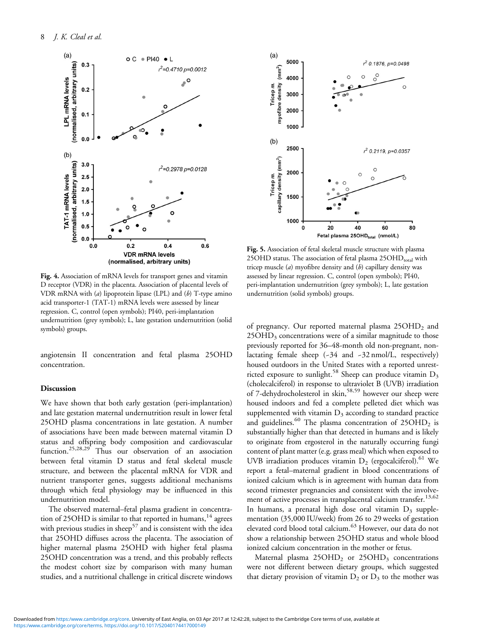<span id="page-7-0"></span>

Fig. 4. Association of mRNA levels for transport genes and vitamin D receptor (VDR) in the placenta. Association of placental levels of VDR mRNA with  $(a)$  lipoprotein lipase (LPL) and  $(b)$  T-type amino acid transporter-1 (TAT-1) mRNA levels were assessed by linear regression. C, control (open symbols); PI40, peri-implantation undernutrition (grey symbols); L, late gestation undernutrition (solid symbols) groups.

angiotensin II concentration and fetal plasma 25OHD concentration.

## Discussion

We have shown that both early gestation (peri-implantation) and late gestation maternal undernutrition result in lower fetal 25OHD plasma concentrations in late gestation. A number of associations have been made between maternal vitamin D status and offspring body composition and cardiovascular function.<sup>[25,28,29](#page-10-0)</sup> Thus our observation of an association between fetal vitamin D status and fetal skeletal muscle structure, and between the placental mRNA for VDR and nutrient transporter genes, suggests additional mechanisms through which fetal physiology may be influenced in this undernutrition model.

The observed maternal–fetal plasma gradient in concentra-tion of 25OHD is similar to that reported in humans,<sup>[14](#page-10-0)</sup> agrees with previous studies in sheep<sup>[57](#page-11-0)</sup> and is consistent with the idea that 25OHD diffuses across the placenta. The association of higher maternal plasma 25OHD with higher fetal plasma 25OHD concentration was a trend, and this probably reflects the modest cohort size by comparison with many human studies, and a nutritional challenge in critical discrete windows



Fig. 5. Association of fetal skeletal muscle structure with plasma 25OHD status. The association of fetal plasma  $25OHD<sub>total</sub>$  with tricep muscle  $(a)$  myofibre density and  $(b)$  capillary density was assessed by linear regression. C, control (open symbols); PI40, peri-implantation undernutrition (grey symbols); L, late gestation undernutrition (solid symbols) groups.

of pregnancy. Our reported maternal plasma 25OHD<sub>2</sub> and 25OHD<sub>3</sub> concentrations were of a similar magnitude to those previously reported for 36–48-month old non-pregnant, nonlactating female sheep (-34 and -32 nmol/L, respectively) housed outdoors in the United States with a reported unrest-ricted exposure to sunlight.<sup>[58](#page-11-0)</sup> Sheep can produce vitamin  $D_3$ (cholecalciferol) in response to ultraviolet B (UVB) irradiation of 7-dehydrocholesterol in skin,  $58,59$  however our sheep were housed indoors and fed a complete pelleted diet which was supplemented with vitamin  $D_3$  according to standard practice and guidelines.<sup>[60](#page-11-0)</sup> The plasma concentration of  $25OHD<sub>2</sub>$  is substantially higher than that detected in humans and is likely to originate from ergosterol in the naturally occurring fungi content of plant matter (e.g. grass meal) which when exposed to UVB irradiation produces vitamin  $D_2$  (ergocalciferol).<sup>[61](#page-11-0)</sup> We report a fetal–maternal gradient in blood concentrations of ionized calcium which is in agreement with human data from second trimester pregnancies and consistent with the involve-ment of active processes in transplacental calcium transfer.<sup>[13](#page-10-0),[62](#page-11-0)</sup> In humans, a prenatal high dose oral vitamin  $D_3$  supplementation (35,000 IU/week) from 26 to 29 weeks of gestation elevated cord blood total calcium.[63](#page-11-0) However, our data do not show a relationship between 25OHD status and whole blood ionized calcium concentration in the mother or fetus.

Maternal plasma  $25OHD<sub>2</sub>$  or  $25OHD<sub>3</sub>$  concentrations were not different between dietary groups, which suggested that dietary provision of vitamin  $D_2$  or  $D_3$  to the mother was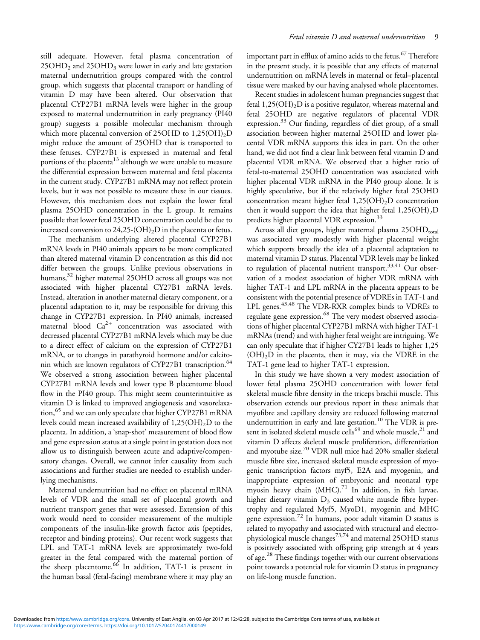still adequate. However, fetal plasma concentration of  $25OHD<sub>2</sub>$  and  $25OHD<sub>3</sub>$  were lower in early and late gestation maternal undernutrition groups compared with the control group, which suggests that placental transport or handling of vitamin D may have been altered. Our observation that placental CYP27B1 mRNA levels were higher in the group exposed to maternal undernutrition in early pregnancy (PI40 group) suggests a possible molecular mechanism through which more placental conversion of 25OHD to  $1,25(OH)_2D$ might reduce the amount of 25OHD that is transported to these fetuses. CYP27B1 is expressed in maternal and fetal portions of the placenta $13$  although we were unable to measure the differential expression between maternal and fetal placenta in the current study. CYP27B1 mRNA may not reflect protein levels, but it was not possible to measure these in our tissues. However, this mechanism does not explain the lower fetal plasma 25OHD concentration in the L group. It remains possible that lower fetal 25OHD concentration could be due to increased conversion to  $24,25-(OH)_2D$  in the placenta or fetus.

The mechanism underlying altered placental CYP27B1 mRNA levels in PI40 animals appears to be more complicated than altered maternal vitamin D concentration as this did not differ between the groups. Unlike previous observations in humans,<sup>[32](#page-10-0)</sup> higher maternal 25OHD across all groups was not associated with higher placental CY27B1 mRNA levels. Instead, alteration in another maternal dietary component, or a placental adaptation to it, may be responsible for driving this change in CYP27B1 expression. In PI40 animals, increased maternal blood  $Ca^{2+}$  concentration was associated with decreased placental CYP27B1 mRNA levels which may be due to a direct effect of calcium on the expression of CYP27B1 mRNA, or to changes in parathyroid hormone and/or calcito-nin which are known regulators of CYP27B1 transcription.<sup>[64](#page-11-0)</sup> We observed a strong association between higher placental CYP27B1 mRNA levels and lower type B placentome blood flow in the PI40 group. This might seem counterintuitive as vitamin D is linked to improved angiogenesis and vasorelaxa-tion,<sup>[65](#page-11-0)</sup> and we can only speculate that higher CYP27B1 mRNA levels could mean increased availability of  $1,25(OH)_2D$  to the placenta. In addition, a 'snap-shot' measurement of blood flow and gene expression status at a single point in gestation does not allow us to distinguish between acute and adaptive/compensatory changes. Overall, we cannot infer causality from such associations and further studies are needed to establish underlying mechanisms.

Maternal undernutrition had no effect on placental mRNA levels of VDR and the small set of placental growth and nutrient transport genes that were assessed. Extension of this work would need to consider measurement of the multiple components of the insulin-like growth factor axis (peptides, receptor and binding proteins). Our recent work suggests that LPL and TAT-1 mRNA levels are approximately two-fold greater in the fetal compared with the maternal portion of the sheep placentome.<sup>[66](#page-11-0)</sup> In addition, TAT-1 is present in the human basal (fetal-facing) membrane where it may play an

important part in efflux of amino acids to the fetus.<sup>[67](#page-11-0)</sup> Therefore in the present study, it is possible that any effects of maternal undernutrition on mRNA levels in maternal or fetal–placental tissue were masked by our having analysed whole placentomes.

Recent studies in adolescent human pregnancies suggest that fetal  $1,25(OH)<sub>2</sub>D$  is a positive regulator, whereas maternal and fetal 25OHD are negative regulators of placental VDR expression.<sup>[33](#page-10-0)</sup> Our finding, regardless of diet group, of a small association between higher maternal 25OHD and lower placental VDR mRNA supports this idea in part. On the other hand, we did not find a clear link between fetal vitamin D and placental VDR mRNA. We observed that a higher ratio of fetal-to-maternal 25OHD concentration was associated with higher placental VDR mRNA in the PI40 group alone. It is highly speculative, but if the relatively higher fetal 25OHD concentration meant higher fetal  $1,25(OH)_{2}D$  concentration then it would support the idea that higher fetal  $1,25(OH)_2D$ predicts higher placental VDR expression.<sup>[33](#page-10-0)</sup>

Across all diet groups, higher maternal plasma  $25OHD<sub>total</sub>$ was associated very modestly with higher placental weight which supports broadly the idea of a placental adaptation to maternal vitamin D status. Placental VDR levels may be linked to regulation of placental nutrient transport.<sup>[33,41](#page-10-0)</sup> Our observation of a modest association of higher VDR mRNA with higher TAT-1 and LPL mRNA in the placenta appears to be consistent with the potential presence of VDREs in TAT-1 and LPL genes.<sup>[43,](#page-10-0)[48](#page-11-0)</sup> The VDR-RXR complex binds to VDREs to regulate gene expression.<sup>[68](#page-11-0)</sup> The very modest observed associations of higher placental CYP27B1 mRNA with higher TAT-1 mRNAs (trend) and with higher fetal weight are intriguing. We can only speculate that if higher CY27B1 leads to higher 1,25  $(OH)<sub>2</sub>D$  in the placenta, then it may, via the VDRE in the TAT-1 gene lead to higher TAT-1 expression.

In this study we have shown a very modest association of lower fetal plasma 25OHD concentration with lower fetal skeletal muscle fibre density in the triceps brachii muscle. This observation extends our previous report in these animals that myofibre and capillary density are reduced following maternal undernutrition in early and late gestation.<sup>[10](#page-10-0)</sup> The VDR is pre-sent in isolated skeletal muscle cells<sup>[69](#page-11-0)</sup> and whole muscle,<sup>[21](#page-10-0)</sup> and vitamin D affects skeletal muscle proliferation, differentiation and myotube size.[70](#page-11-0) VDR null mice had 20% smaller skeletal muscle fibre size, increased skeletal muscle expression of myogenic transcription factors myf5, E2A and myogenin, and inappropriate expression of embryonic and neonatal type myosin heavy chain  $(MHC).$ <sup>[71](#page-11-0)</sup> In addition, in fish larvae, higher dietary vitamin  $D_3$  caused white muscle fibre hypertrophy and regulated Myf5, MyoD1, myogenin and MHC gene expression.[72](#page-11-0) In humans, poor adult vitamin D status is related to myopathy and associated with structural and electrophysiological muscle changes[73,74](#page-11-0) and maternal 25OHD status is positively associated with offspring grip strength at 4 years of age.<sup>[28](#page-10-0)</sup> These findings together with our current observations point towards a potential role for vitamin D status in pregnancy on life-long muscle function.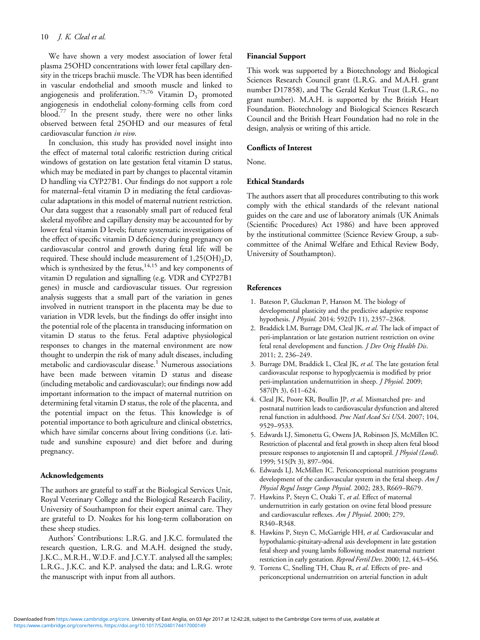<span id="page-9-0"></span>We have shown a very modest association of lower fetal plasma 25OHD concentrations with lower fetal capillary density in the triceps brachii muscle. The VDR has been identified in vascular endothelial and smooth muscle and linked to angiogenesis and proliferation.<sup>[75,76](#page-11-0)</sup> Vitamin  $D_3$  promoted angiogenesis in endothelial colony-forming cells from cord blood.[77](#page-11-0) In the present study, there were no other links observed between fetal 25OHD and our measures of fetal cardiovascular function in vivo.

In conclusion, this study has provided novel insight into the effect of maternal total calorific restriction during critical windows of gestation on late gestation fetal vitamin D status, which may be mediated in part by changes to placental vitamin D handling via CYP27B1. Our findings do not support a role for maternal–fetal vitamin D in mediating the fetal cardiovascular adaptations in this model of maternal nutrient restriction. Our data suggest that a reasonably small part of reduced fetal skeletal myofibre and capillary density may be accounted for by lower fetal vitamin D levels; future systematic investigations of the effect of specific vitamin D deficiency during pregnancy on cardiovascular control and growth during fetal life will be required. These should include measurement of 1,25(OH)<sub>2</sub>D, which is synthesized by the fetus, $14,15$  $14,15$  $14,15$  and key components of vitamin D regulation and signalling (e.g. VDR and CYP27B1 genes) in muscle and cardiovascular tissues. Our regression analysis suggests that a small part of the variation in genes involved in nutrient transport in the placenta may be due to variation in VDR levels, but the findings do offer insight into the potential role of the placenta in transducing information on vitamin D status to the fetus. Fetal adaptive physiological responses to changes in the maternal environment are now thought to underpin the risk of many adult diseases, including metabolic and cardiovascular disease.<sup>1</sup> Numerous associations have been made between vitamin D status and disease (including metabolic and cardiovascular); our findings now add important information to the impact of maternal nutrition on determining fetal vitamin D status, the role of the placenta, and the potential impact on the fetus. This knowledge is of potential importance to both agriculture and clinical obstetrics, which have similar concerns about living conditions (i.e. latitude and sunshine exposure) and diet before and during pregnancy.

# Acknowledgements

The authors are grateful to staff at the Biological Services Unit, Royal Veterinary College and the Biological Research Facility, University of Southampton for their expert animal care. They are grateful to D. Noakes for his long-term collaboration on these sheep studies.

Authors' Contributions: L.R.G. and J.K.C. formulated the research question, L.R.G. and M.A.H. designed the study, J.K.C., M.R.H., W.D.F. and J.C.Y.T. analysed all the samples; L.R.G., J.K.C. and K.P. analysed the data; and L.R.G. wrote the manuscript with input from all authors.

#### Financial Support

This work was supported by a Biotechnology and Biological Sciences Research Council grant (L.R.G. and M.A.H. grant number D17858), and The Gerald Kerkut Trust (L.R.G., no grant number). M.A.H. is supported by the British Heart Foundation. Biotechnology and Biological Sciences Research Council and the British Heart Foundation had no role in the design, analysis or writing of this article.

# Conflicts of Interest

None.

## Ethical Standards

The authors assert that all procedures contributing to this work comply with the ethical standards of the relevant national guides on the care and use of laboratory animals (UK Animals (Scientific Procedures) Act 1986) and have been approved by the institutional committee (Science Review Group, a subcommittee of the Animal Welfare and Ethical Review Body, University of Southampton).

#### References

- 1. Bateson P, Gluckman P, Hanson M. The biology of developmental plasticity and the predictive adaptive response hypothesis. J Physiol. 2014; 592(Pt 11), 2357–2368.
- 2. Braddick LM, Burrage DM, Cleal JK, et al. The lack of impact of peri-implantation or late gestation nutrient restriction on ovine fetal renal development and function. *J Dev Orig Health Dis*. 2011; 2, 236–249.
- 3. Burrage DM, Braddick L, Cleal JK, et al. The late gestation fetal cardiovascular response to hypoglycaemia is modified by prior peri-implantation undernutrition in sheep. J Physiol. 2009; 587(Pt 3), 611–624.
- 4. Cleal JK, Poore KR, Boullin JP, et al. Mismatched pre- and postnatal nutrition leads to cardiovascular dysfunction and altered renal function in adulthood. Proc Natl Acad Sci USA. 2007; 104, 9529–9533.
- 5. Edwards LJ, Simonetta G, Owens JA, Robinson JS, McMillen IC. Restriction of placental and fetal growth in sheep alters fetal blood pressure responses to angiotensin II and captopril. J Physiol (Lond). 1999; 515(Pt 3), 897–904.
- 6. Edwards LJ, McMillen IC. Periconceptional nutrition programs development of the cardiovascular system in the fetal sheep. Am J Physiol Regul Integr Comp Physiol. 2002; 283, R669–R679.
- 7. Hawkins P, Steyn C, Ozaki T, et al. Effect of maternal undernutrition in early gestation on ovine fetal blood pressure and cardiovascular reflexes. Am J Physiol. 2000; 279, R340–R348.
- 8. Hawkins P, Steyn C, McGarrigle HH, et al. Cardiovascular and hypothalamic-pituitary-adrenal axis development in late gestation fetal sheep and young lambs following modest maternal nutrient restriction in early gestation. Reprod Fertil Dev. 2000; 12, 443–456.
- 9. Torrens C, Snelling TH, Chau R, et al. Effects of pre- and periconceptional undernutrition on arterial function in adult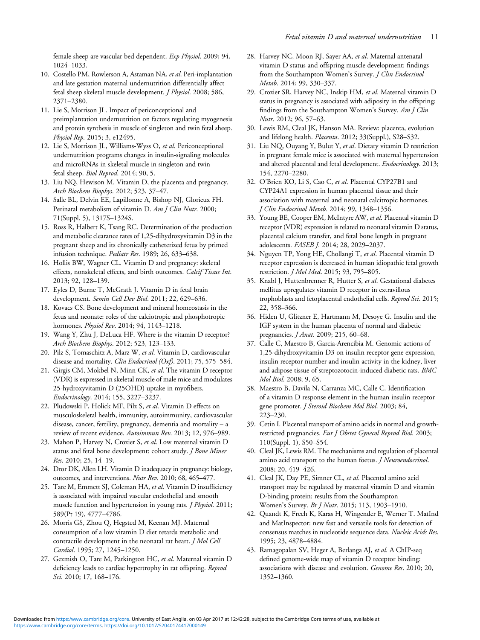<span id="page-10-0"></span>female sheep are vascular bed dependent. Exp Physiol. 2009; 94, 1024–1033.

- 10. Costello PM, Rowlerson A, Astaman NA, et al. Peri-implantation and late gestation maternal undernutrition differentially affect fetal sheep skeletal muscle development. J Physiol. 2008; 586, 2371–2380.
- 11. Lie S, Morrison JL. Impact of periconceptional and preimplantation undernutrition on factors regulating myogenesis and protein synthesis in muscle of singleton and twin fetal sheep. Physiol Rep. 2015; 3, e12495.
- 12. Lie S, Morrison JL, Williams-Wyss O, et al. Periconceptional undernutrition programs changes in insulin-signaling molecules and microRNAs in skeletal muscle in singleton and twin fetal sheep. Biol Reprod. 2014; 90, 5.
- 13. Liu NQ, Hewison M. Vitamin D, the placenta and pregnancy. Arch Biochem Biophys. 2012; 523, 37–47.
- 14. Salle BL, Delvin EE, Lapillonne A, Bishop NJ, Glorieux FH. Perinatal metabolism of vitamin D. Am J Clin Nutr. 2000; 71(Suppl. 5), 1317S–1324S.
- 15. Ross R, Halbert K, Tsang RC. Determination of the production and metabolic clearance rates of 1,25-dihydroxyvitamin D3 in the pregnant sheep and its chronically catheterized fetus by primed infusion technique. Pediatr Res. 1989; 26, 633–638.
- 16. Hollis BW, Wagner CL. Vitamin D and pregnancy: skeletal effects, nonskeletal effects, and birth outcomes. Calcif Tissue Int. 2013; 92, 128–139.
- 17. Eyles D, Burne T, McGrath J. Vitamin D in fetal brain development. Semin Cell Dev Biol. 2011; 22, 629–636.
- 18. Kovacs CS. Bone development and mineral homeostasis in the fetus and neonate: roles of the calciotropic and phosphotropic hormones. Physiol Rev. 2014; 94, 1143–1218.
- 19. Wang Y, Zhu J, DeLuca HF. Where is the vitamin D receptor? Arch Biochem Biophys. 2012; 523, 123–133.
- 20. Pilz S, Tomaschitz A, Marz W, et al. Vitamin D, cardiovascular disease and mortality. Clin Endocrinol (Oxf). 2011; 75, 575-584.
- 21. Girgis CM, Mokbel N, Minn CK, et al. The vitamin D receptor (VDR) is expressed in skeletal muscle of male mice and modulates 25-hydroxyvitamin D (25OHD) uptake in myofibers. Endocrinology. 2014; 155, 3227–3237.
- 22. Pludowski P, Holick MF, Pilz S, et al. Vitamin D effects on musculoskeletal health, immunity, autoimmunity, cardiovascular disease, cancer, fertility, pregnancy, dementia and mortality – a review of recent evidence. Autoimmun Rev. 2013; 12, 976–989.
- 23. Mahon P, Harvey N, Crozier S, et al. Low maternal vitamin D status and fetal bone development: cohort study. J Bone Miner Res. 2010; 25, 14–19.
- 24. Dror DK, Allen LH. Vitamin D inadequacy in pregnancy: biology, outcomes, and interventions. Nutr Rev. 2010; 68, 465–477.
- 25. Tare M, Emmett SJ, Coleman HA, et al. Vitamin D insufficiency is associated with impaired vascular endothelial and smooth muscle function and hypertension in young rats. J Physiol. 2011; 589(Pt 19), 4777–4786.
- 26. Morris GS, Zhou Q, Hegsted M, Keenan MJ. Maternal consumption of a low vitamin D diet retards metabolic and contractile development in the neonatal rat heart. J Mol Cell Cardiol. 1995; 27, 1245–1250.
- 27. Gezmish O, Tare M, Parkington HC, et al. Maternal vitamin D deficiency leads to cardiac hypertrophy in rat offspring. Reprod Sci. 2010; 17, 168–176.
- 28. Harvey NC, Moon RJ, Sayer AA, et al. Maternal antenatal vitamin D status and offspring muscle development: findings from the Southampton Women's Survey. *J Clin Endocrinol* Metab. 2014; 99, 330–337.
- 29. Crozier SR, Harvey NC, Inskip HM, et al. Maternal vitamin D status in pregnancy is associated with adiposity in the offspring: findings from the Southampton Women's Survey. Am J Clin Nutr. 2012; 96, 57–63.
- 30. Lewis RM, Cleal JK, Hanson MA. Review: placenta, evolution and lifelong health. Placenta. 2012; 33(Suppl.), S28–S32.
- 31. Liu NQ, Ouyang Y, Bulut Y, et al. Dietary vitamin D restriction in pregnant female mice is associated with maternal hypertension and altered placental and fetal development. Endocrinology. 2013; 154, 2270–2280.
- 32. O'Brien KO, Li S, Cao C, et al. Placental CYP27B1 and CYP24A1 expression in human placental tissue and their association with maternal and neonatal calcitropic hormones. J Clin Endocrinol Metab. 2014; 99, 1348–1356.
- 33. Young BE, Cooper EM, McIntyre AW, et al. Placental vitamin D receptor (VDR) expression is related to neonatal vitamin D status, placental calcium transfer, and fetal bone length in pregnant adolescents. FASEB J. 2014; 28, 2029–2037.
- 34. Nguyen TP, Yong HE, Chollangi T, et al. Placental vitamin D receptor expression is decreased in human idiopathic fetal growth restriction. J Mol Med. 2015; 93, 795–805.
- 35. Knabl J, Huttenbrenner R, Hutter S, et al. Gestational diabetes mellitus upregulates vitamin D receptor in extravillous trophoblasts and fetoplacental endothelial cells. Reprod Sci. 2015; 22, 358–366.
- 36. Hiden U, Glitzner E, Hartmann M, Desoye G. Insulin and the IGF system in the human placenta of normal and diabetic pregnancies. J Anat. 2009; 215, 60–68.
- 37. Calle C, Maestro B, Garcia-Arencibia M. Genomic actions of 1,25-dihydroxyvitamin D3 on insulin receptor gene expression, insulin receptor number and insulin activity in the kidney, liver and adipose tissue of streptozotocin-induced diabetic rats. BMC Mol Biol. 2008; 9, 65.
- 38. Maestro B, Davila N, Carranza MC, Calle C. Identification of a vitamin D response element in the human insulin receptor gene promoter. J Steroid Biochem Mol Biol. 2003; 84, 223–230.
- 39. Cetin I. Placental transport of amino acids in normal and growthrestricted pregnancies. Eur J Obstet Gynecol Reprod Biol. 2003; 110(Suppl. 1), S50–S54.
- 40. Cleal JK, Lewis RM. The mechanisms and regulation of placental amino acid transport to the human foetus. *J Neuroendocrinol*. 2008; 20, 419–426.
- 41. Cleal JK, Day PE, Simner CL, et al. Placental amino acid transport may be regulated by maternal vitamin D and vitamin D-binding protein: results from the Southampton Women's Survey. Br J Nutr. 2015; 113, 1903–1910.
- 42. Quandt K, Frech K, Karas H, Wingender E, Werner T. MatInd and MatInspector: new fast and versatile tools for detection of consensus matches in nucleotide sequence data. Nucleic Acids Res. 1995; 23, 4878–4884.
- 43. Ramagopalan SV, Heger A, Berlanga AJ, et al. A ChIP-seq defined genome-wide map of vitamin D receptor binding: associations with disease and evolution. Genome Res. 2010; 20, 1352–1360.